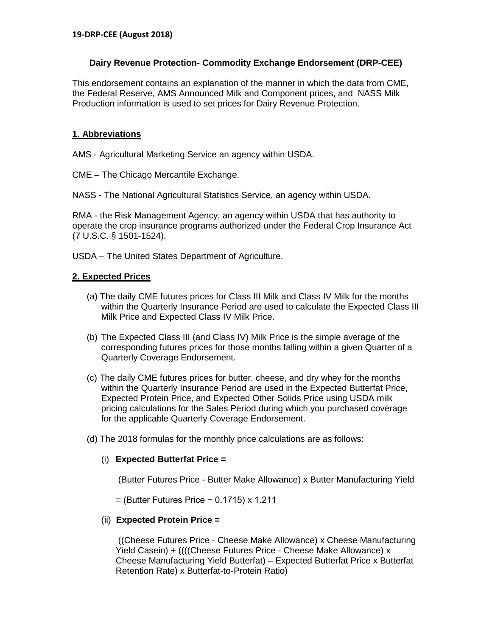# **Dairy Revenue Protection- Commodity Exchange Endorsement (DRP-CEE)**

This endorsement contains an explanation of the manner in which the data from CME, the Federal Reserve, AMS Announced Milk and Component prices, and NASS Milk Production information is used to set prices for Dairy Revenue Protection.

# **1. Abbreviations**

AMS - Agricultural Marketing Service an agency within USDA.

CME – The Chicago Mercantile Exchange.

NASS - The National Agricultural Statistics Service, an agency within USDA.

RMA - the Risk Management Agency, an agency within USDA that has authority to operate the crop insurance programs authorized under the Federal Crop Insurance Act (7 U.S.C. § 1501-1524).

USDA – The United States Department of Agriculture.

# **2. Expected Prices**

- (a) The daily CME futures prices for Class III Milk and Class IV Milk for the months within the Quarterly Insurance Period are used to calculate the Expected Class III Milk Price and Expected Class IV Milk Price.
- (b) The Expected Class III (and Class IV) Milk Price is the simple average of the corresponding futures prices for those months falling within a given Quarter of a Quarterly Coverage Endorsement.
- (c) The daily CME futures prices for butter, cheese, and dry whey for the months within the Quarterly Insurance Period are used in the Expected Butterfat Price, Expected Protein Price, and Expected Other Solids Price using USDA milk pricing calculations for the Sales Period during which you purchased coverage for the applicable Quarterly Coverage Endorsement.
- (d) The 2018 formulas for the monthly price calculations are as follows:

# (i) **Expected Butterfat Price =**

(Butter Futures Price - Butter Make Allowance) x Butter Manufacturing Yield

= (Butter Futures Price − 0.1715) x 1.211

# (ii) **Expected Protein Price =**

((Cheese Futures Price - Cheese Make Allowance) x Cheese Manufacturing Yield Casein) + ((((Cheese Futures Price - Cheese Make Allowance) x Cheese Manufacturing Yield Butterfat) – Expected Butterfat Price x Butterfat Retention Rate) x Butterfat-to-Protein Ratio)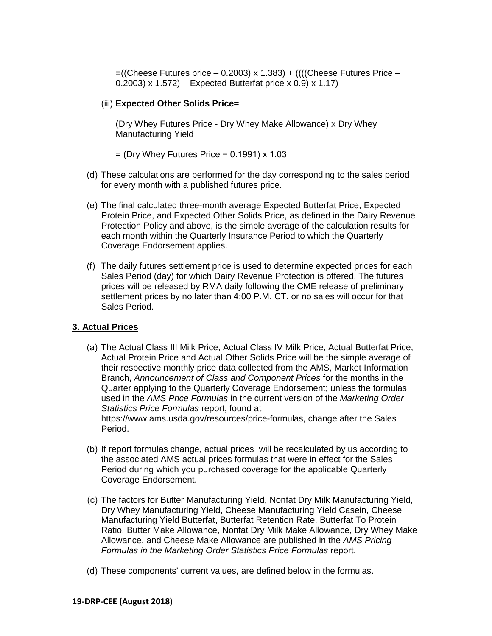$=$ ((Cheese Futures price – 0.2003) x 1.383) + (((Cheese Futures Price – 0.2003) x 1.572) – Expected Butterfat price x 0.9) x 1.17)

### (iii) **Expected Other Solids Price=**

(Dry Whey Futures Price - Dry Whey Make Allowance) x Dry Whey Manufacturing Yield

= (Dry Whey Futures Price − 0.1991) x 1.03

- (d) These calculations are performed for the day corresponding to the sales period for every month with a published futures price.
- (e) The final calculated three-month average Expected Butterfat Price, Expected Protein Price, and Expected Other Solids Price, as defined in the Dairy Revenue Protection Policy and above, is the simple average of the calculation results for each month within the Quarterly Insurance Period to which the Quarterly Coverage Endorsement applies.
- (f) The daily futures settlement price is used to determine expected prices for each Sales Period (day) for which Dairy Revenue Protection is offered. The futures prices will be released by RMA daily following the CME release of preliminary settlement prices by no later than 4:00 P.M. CT. or no sales will occur for that Sales Period.

### **3. Actual Prices**

- (a) The Actual Class III Milk Price, Actual Class IV Milk Price, Actual Butterfat Price, Actual Protein Price and Actual Other Solids Price will be the simple average of their respective monthly price data collected from the AMS, Market Information Branch, *Announcement of Class and Component Prices* for the months in the Quarter applying to the Quarterly Coverage Endorsement; unless the formulas used in the *AMS Price Formulas* in the current version of the *Marketing Order Statistics Price Formulas* report, found at https://www.ams.usda.gov/resources/price-formulas, change after the Sales Period.
- (b) If report formulas change, actual prices will be recalculated by us according to the associated AMS actual prices formulas that were in effect for the Sales Period during which you purchased coverage for the applicable Quarterly Coverage Endorsement.
- (c) The factors for Butter Manufacturing Yield, Nonfat Dry Milk Manufacturing Yield, Dry Whey Manufacturing Yield, Cheese Manufacturing Yield Casein, Cheese Manufacturing Yield Butterfat, Butterfat Retention Rate, Butterfat To Protein Ratio, Butter Make Allowance, Nonfat Dry Milk Make Allowance, Dry Whey Make Allowance, and Cheese Make Allowance are published in the *AMS Pricing Formulas in the Marketing Order Statistics Price Formulas* report.
- (d) These components' current values, are defined below in the formulas.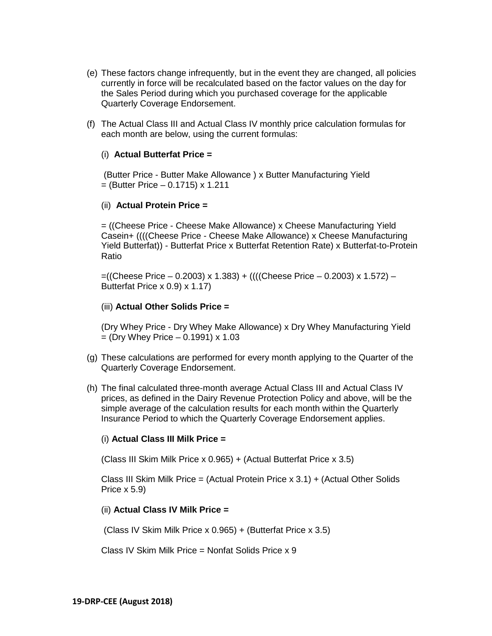- (e) These factors change infrequently, but in the event they are changed, all policies currently in force will be recalculated based on the factor values on the day for the Sales Period during which you purchased coverage for the applicable Quarterly Coverage Endorsement.
- (f) The Actual Class III and Actual Class IV monthly price calculation formulas for each month are below, using the current formulas:

## (i) **Actual Butterfat Price =**

(Butter Price - Butter Make Allowance ) x Butter Manufacturing Yield  $=$  (Butter Price  $-$  0.1715) x 1.211

#### (ii) **Actual Protein Price =**

= ((Cheese Price - Cheese Make Allowance) x Cheese Manufacturing Yield Casein+ ((((Cheese Price - Cheese Make Allowance) x Cheese Manufacturing Yield Butterfat)) - Butterfat Price x Butterfat Retention Rate) x Butterfat-to-Protein Ratio

=((Cheese Price – 0.2003) x 1.383) + ((((Cheese Price – 0.2003) x 1.572) – Butterfat Price x 0.9) x 1.17)

### (iii) **Actual Other Solids Price =**

(Dry Whey Price - Dry Whey Make Allowance) x Dry Whey Manufacturing Yield  $=$  (Dry Whey Price  $-$  0.1991) x 1.03

- (g) These calculations are performed for every month applying to the Quarter of the Quarterly Coverage Endorsement.
- (h) The final calculated three-month average Actual Class III and Actual Class IV prices, as defined in the Dairy Revenue Protection Policy and above, will be the simple average of the calculation results for each month within the Quarterly Insurance Period to which the Quarterly Coverage Endorsement applies.

### (i) **Actual Class III Milk Price =**

(Class III Skim Milk Price x 0.965) + (Actual Butterfat Price x 3.5)

Class III Skim Milk Price = (Actual Protein Price  $x$  3.1) + (Actual Other Solids Price x 5.9)

#### (ii) **Actual Class IV Milk Price =**

(Class IV Skim Milk Price x 0.965) + (Butterfat Price x 3.5)

Class IV Skim Milk Price = Nonfat Solids Price x 9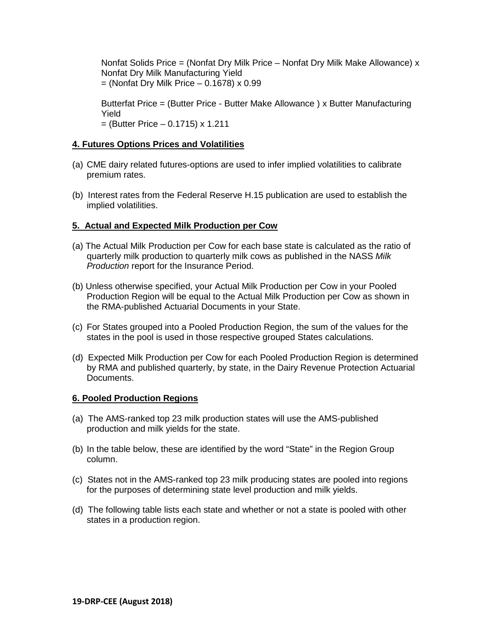Nonfat Solids Price = (Nonfat Dry Milk Price – Nonfat Dry Milk Make Allowance) x Nonfat Dry Milk Manufacturing Yield  $=$  (Nonfat Dry Milk Price  $-$  0.1678) x 0.99

Butterfat Price = (Butter Price - Butter Make Allowance ) x Butter Manufacturing Yield  $=$  (Butter Price – 0.1715) x 1.211

# **4. Futures Options Prices and Volatilities**

- (a) CME dairy related futures-options are used to infer implied volatilities to calibrate premium rates.
- (b) Interest rates from the Federal Reserve H.15 publication are used to establish the implied volatilities.

## **5. Actual and Expected Milk Production per Cow**

- (a) The Actual Milk Production per Cow for each base state is calculated as the ratio of quarterly milk production to quarterly milk cows as published in the NASS *Milk Production* report for the Insurance Period.
- (b) Unless otherwise specified, your Actual Milk Production per Cow in your Pooled Production Region will be equal to the Actual Milk Production per Cow as shown in the RMA-published Actuarial Documents in your State.
- (c) For States grouped into a Pooled Production Region, the sum of the values for the states in the pool is used in those respective grouped States calculations.
- (d) Expected Milk Production per Cow for each Pooled Production Region is determined by RMA and published quarterly, by state, in the Dairy Revenue Protection Actuarial Documents.

### **6. Pooled Production Regions**

- (a) The AMS-ranked top 23 milk production states will use the AMS-published production and milk yields for the state.
- (b) In the table below, these are identified by the word "State" in the Region Group column.
- (c) States not in the AMS-ranked top 23 milk producing states are pooled into regions for the purposes of determining state level production and milk yields.
- (d) The following table lists each state and whether or not a state is pooled with other states in a production region.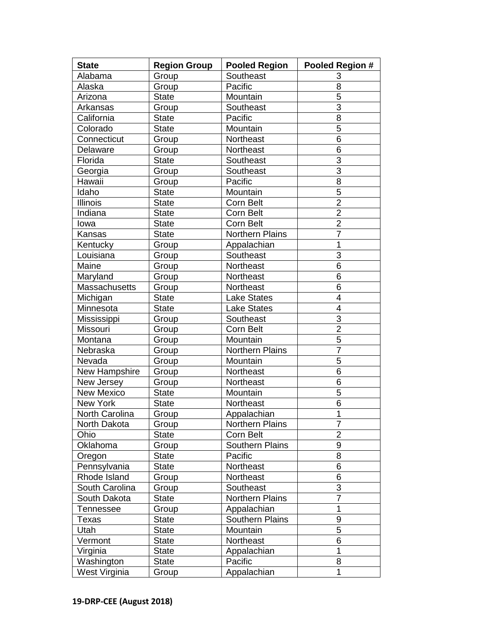| <b>State</b>          | <b>Region Group</b> | <b>Pooled Region</b>   | Pooled Region # |
|-----------------------|---------------------|------------------------|-----------------|
| Alabama               | Group               | Southeast              | 3               |
| Alaska                | Group               | Pacific                | 8               |
| Arizona               | <b>State</b>        | Mountain               | 5               |
| Arkansas              | Group               | Southeast              | $\overline{3}$  |
| California            | <b>State</b>        | Pacific                | 8               |
| Colorado              | <b>State</b>        | Mountain               | $\overline{5}$  |
| Connecticut           | Group               | Northeast              | 6               |
| Delaware              | Group               | Northeast              | 6               |
| Florida               | <b>State</b>        | Southeast              | $\overline{3}$  |
| Georgia               | Group               | Southeast              | $\overline{3}$  |
| Hawaii                | Group               | Pacific                | 8               |
| Idaho                 | <b>State</b>        | Mountain               | 5               |
| <b>Illinois</b>       | <b>State</b>        | Corn Belt              | $\overline{2}$  |
| Indiana               | <b>State</b>        | Corn Belt              | $\overline{2}$  |
| lowa                  | <b>State</b>        | Corn Belt              | $\overline{2}$  |
| Kansas                | <b>State</b>        | <b>Northern Plains</b> | $\overline{7}$  |
| Kentucky              | Group               | Appalachian            | 1               |
| Louisiana             | Group               | Southeast              | 3               |
| Maine                 | Group               | Northeast              | 6               |
| Maryland              | Group               | Northeast              | 6               |
| Massachusetts         | Group               | Northeast              | 6               |
| Michigan              | <b>State</b>        | <b>Lake States</b>     | $\overline{4}$  |
| Minnesota             | <b>State</b>        | <b>Lake States</b>     | $\overline{4}$  |
| Mississippi           | Group               | Southeast              | 3               |
| Missouri              | Group               | Corn Belt              | $\overline{2}$  |
| Montana               | Group               | Mountain               | $\overline{5}$  |
| Nebraska              | Group               | Northern Plains        | $\overline{7}$  |
| Nevada                | Group               | Mountain               | $\overline{5}$  |
| New Hampshire         | Group               | Northeast              | 6               |
| New Jersey            | Group               | Northeast              | 6               |
| <b>New Mexico</b>     | <b>State</b>        | Mountain               | 5               |
| New York              | <b>State</b>        | Northeast              | 6               |
| <b>North Carolina</b> | Group               | Appalachian            | $\mathbf{1}$    |
| North Dakota          | Group               | Northern Plains        | 7               |
| Ohio                  | <b>State</b>        | Corn Belt              | $\overline{2}$  |
| Oklahoma              | Group               | <b>Southern Plains</b> | 9               |
| Oregon                | <b>State</b>        | Pacific                | 8               |
| Pennsylvania          | <b>State</b>        | Northeast              | 6               |
| Rhode Island          | Group               | Northeast              | 6               |
| South Carolina        | Group               | Southeast              | 3               |
| South Dakota          | <b>State</b>        | Northern Plains        | $\overline{7}$  |
| <b>Tennessee</b>      | Group               | Appalachian            | 1               |
| <b>Texas</b>          | <b>State</b>        | Southern Plains        | 9               |
| Utah                  | <b>State</b>        | Mountain               | 5               |
| Vermont               | <b>State</b>        | Northeast              | 6               |
| Virginia              | <b>State</b>        | Appalachian            | 1               |
| Washington            | <b>State</b>        | Pacific                | 8               |
| West Virginia         | Group               | Appalachian            | 1               |